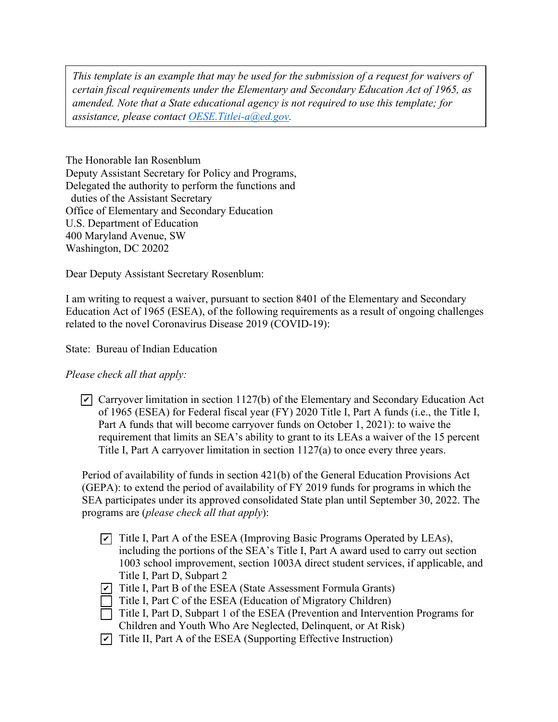*This template is an example that may be used for the submission of a request for waivers of certain fiscal requirements under the Elementary and Secondary Education Act of 1965, as amended. Note that a State educational agency is not required to use this template; for assistance, please contact OESE.Titlei-a@ed.gov.* 

The Honorable Ian Rosenblum Deputy Assistant Secretary for Policy and Programs, Delegated the authority to perform the functions and duties of the Assistant Secretary Office of Elementary and Secondary Education U.S. Department of Education 400 Maryland Avenue, SW Washington, DC 20202

Dear Deputy Assistant Secretary Rosenblum:

I am writing to request a waiver, pursuant to section 8401 of the Elementary and Secondary Education Act of 1965 (ESEA), of the following requirements as a result of ongoing challenges related to the novel Coronavirus Disease 2019 (COVID-19):

State: Bureau of Indian Education

*Please check all that apply:*

 $\triangledown$  Carryover limitation in section 1127(b) of the Elementary and Secondary Education Act of 1965 (ESEA) for Federal fiscal year (FY) 2020 Title I, Part A funds (i.e., the Title I, Part A funds that will become carryover funds on October 1, 2021): to waive the requirement that limits an SEA's ability to grant to its LEAs a waiver of the 15 percent Title I, Part A carryover limitation in section 1127(a) to once every three years.

Period of availability of funds in section 421(b) of the General Education Provisions Act (GEPA): to extend the period of availability of FY 2019 funds for programs in which the SEA participates under its approved consolidated State plan until September 30, 2022. The programs are (*please check all that apply*):

- $\triangledown$  Title I, Part A of the ESEA (Improving Basic Programs Operated by LEAs), including the portions of the SEA's Title I, Part A award used to carry out section 1003 school improvement, section 1003A direct student services, if applicable, and Title I, Part D, Subpart 2
- $\triangledown$  Title I, Part B of the ESEA (State Assessment Formula Grants)
- Title I, Part C of the ESEA (Education of Migratory Children)
- $\Box$  Title I, Part D, Subpart 1 of the ESEA (Prevention and Intervention Programs for Children and Youth Who Are Neglected, Delinquent, or At Risk)
- $\triangledown$  Title II, Part A of the ESEA (Supporting Effective Instruction)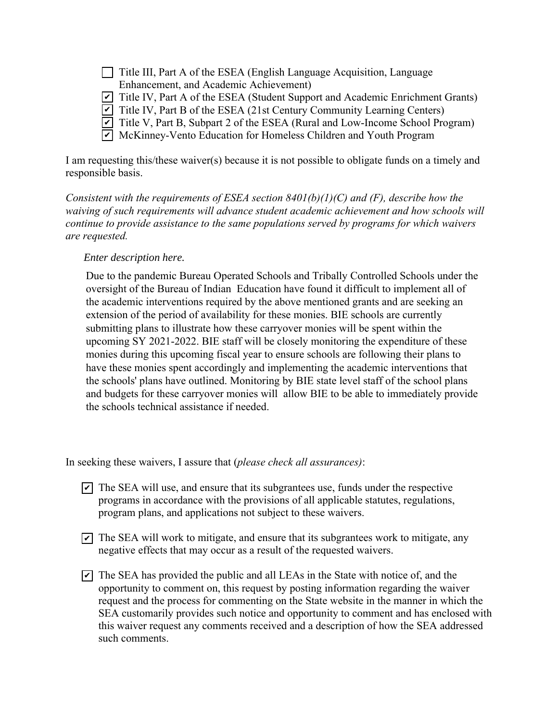| Title III, Part A of the ESEA (English Language Acquisition, Language                         |
|-----------------------------------------------------------------------------------------------|
| Enhancement, and Academic Achievement)                                                        |
| $\triangledown$ Title IV, Part A of the ESEA (Student Support and Academic Enrichment Grants) |
| $\triangledown$ Title IV, Part B of the ESEA (21st Century Community Learning Centers)        |
| $\triangledown$ Title V, Part B, Subpart 2 of the ESEA (Rural and Low-Income School Program)  |
| $\triangledown$ McKinney-Vento Education for Homeless Children and Youth Program              |

I am requesting this/these waiver(s) because it is not possible to obligate funds on a timely and responsible basis.

*Consistent with the requirements of ESEA section 8401(b)(1)(C) and (F), describe how the waiving of such requirements will advance student academic achievement and how schools will continue to provide assistance to the same populations served by programs for which waivers are requested.* 

## *Enter description here.*

Due to the pandemic Bureau Operated Schools and Tribally Controlled Schools under the oversight of the Bureau of Indian Education have found it difficult to implement all of the academic interventions required by the above mentioned grants and are seeking an extension of the period of availability for these monies. BIE schools are currently submitting plans to illustrate how these carryover monies will be spent within the upcoming SY 2021-2022. BIE staff will be closely monitoring the expenditure of these monies during this upcoming fiscal year to ensure schools are following their plans to have these monies spent accordingly and implementing the academic interventions that the schools' plans have outlined. Monitoring by BIE state level staff of the school plans and budgets for these carryover monies will allow BIE to be able to immediately provide the schools technical assistance if needed.

In seeking these waivers, I assure that (*please check all assurances)*:

- $\triangledown$  The SEA will use, and ensure that its subgrantees use, funds under the respective programs in accordance with the provisions of all applicable statutes, regulations, program plans, and applications not subject to these waivers.
- $\triangledown$  The SEA will work to mitigate, and ensure that its subgrantees work to mitigate, any negative effects that may occur as a result of the requested waivers.
- $\triangledown$  The SEA has provided the public and all LEAs in the State with notice of, and the opportunity to comment on, this request by posting information regarding the waiver request and the process for commenting on the State website in the manner in which the SEA customarily provides such notice and opportunity to comment and has enclosed with this waiver request any comments received and a description of how the SEA addressed such comments.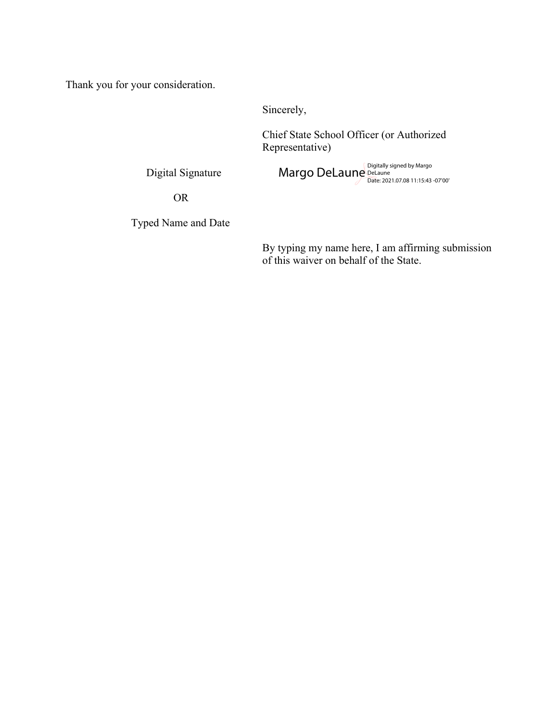Thank you for your consideration.

Sincerely,

Chief State School Officer (or Authorized Representative)

Digital Signature

Margo DeLaune<br>Margo DeLaune<br><sub>Date: 2021.07.08 11:15:43 -07'00'</sub>

OR

Typed Name and Date

By typing my name here, I am affirming submission of this waiver on behalf of the State.